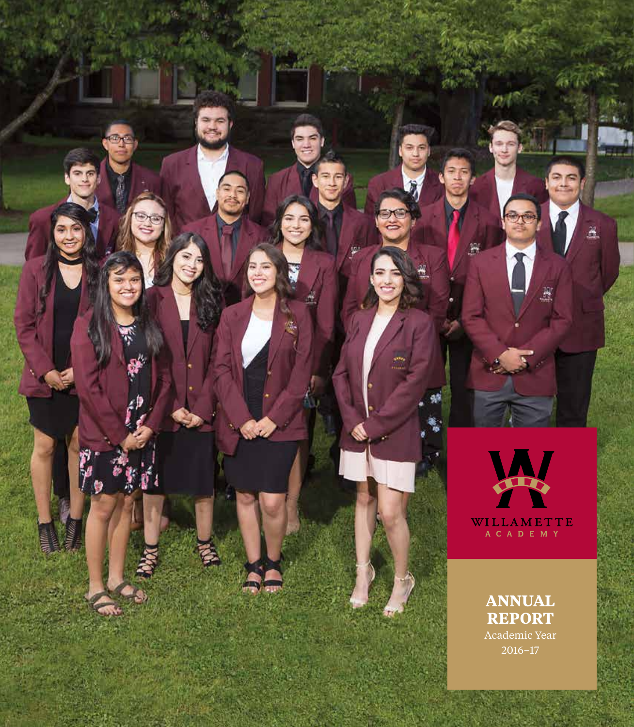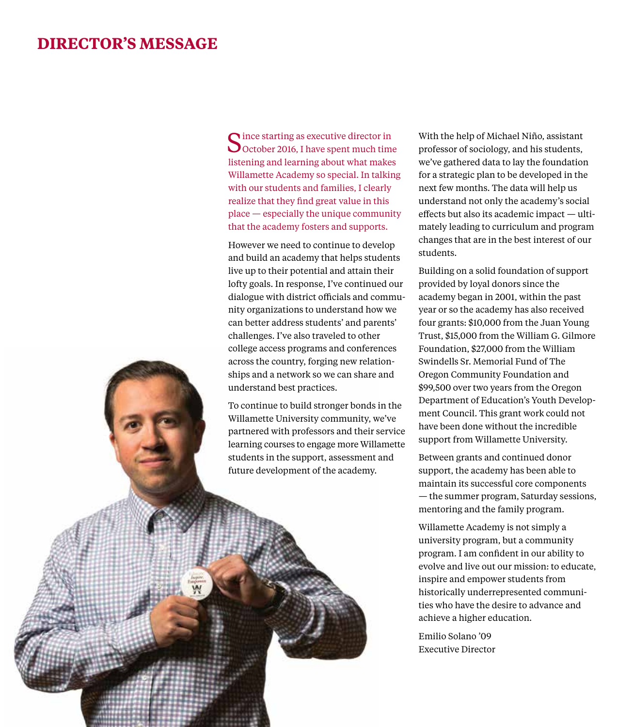### **DIRECTOR'S MESSAGE**

Since starting as executive director in<br>
October 2016, I have spent much time listening and learning about what makes Willamette Academy so special. In talking with our students and families, I clearly realize that they find great value in this place — especially the unique community that the academy fosters and supports.

However we need to continue to develop and build an academy that helps students live up to their potential and attain their lofty goals. In response, I've continued our dialogue with district officials and community organizations to understand how we can better address students' and parents' challenges. I've also traveled to other college access programs and conferences across the country, forging new relationships and a network so we can share and understand best practices.

To continue to build stronger bonds in the Willamette University community, we've partnered with professors and their service learning courses to engage more Willamette students in the support, assessment and future development of the academy.

With the help of Michael Niño, assistant professor of sociology, and his students, we've gathered data to lay the foundation for a strategic plan to be developed in the next few months. The data will help us understand not only the academy's social effects but also its academic impact — ultimately leading to curriculum and program changes that are in the best interest of our students.

Building on a solid foundation of support provided by loyal donors since the academy began in 2001, within the past year or so the academy has also received four grants: \$10,000 from the Juan Young Trust, \$15,000 from the William G. Gilmore Foundation, \$27,000 from the William Swindells Sr. Memorial Fund of The Oregon Community Foundation and \$99,500 over two years from the Oregon Department of Education's Youth Development Council. This grant work could not have been done without the incredible support from Willamette University.

Between grants and continued donor support, the academy has been able to maintain its successful core components — the summer program, Saturday sessions, mentoring and the family program.

Willamette Academy is not simply a university program, but a community program. I am confident in our ability to evolve and live out our mission: to educate, inspire and empower students from historically underrepresented communities who have the desire to advance and achieve a higher education.

Emilio Solano '09 Executive Director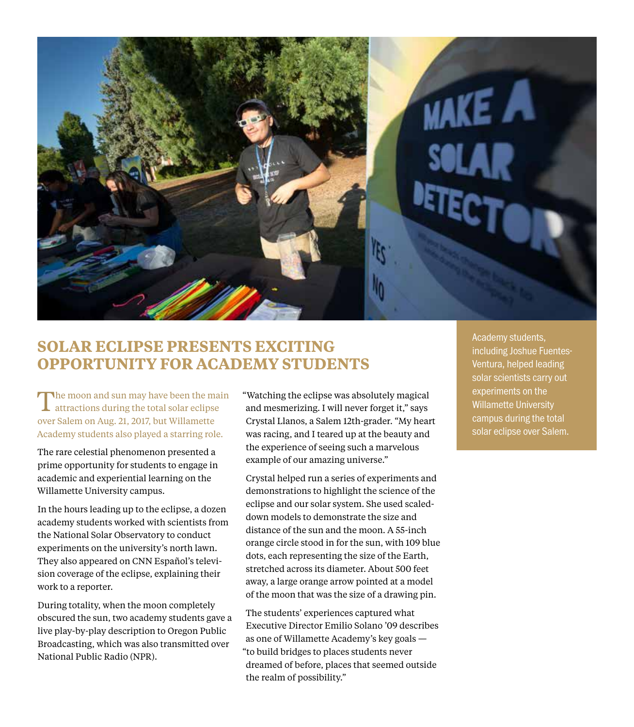

# **SOLAR ECLIPSE PRESENTS EXCITING OPPORTUNITY FOR ACADEMY STUDENTS**

The moon and sun may have been the main **L** attractions during the total solar eclipse over Salem on Aug. 21, 2017, but Willamette Academy students also played a starring role.

The rare celestial phenomenon presented a prime opportunity for students to engage in academic and experiential learning on the Willamette University campus.

In the hours leading up to the eclipse, a dozen academy students worked with scientists from the National Solar Observatory to conduct experiments on the university's north lawn. They also appeared on CNN Español's television coverage of the eclipse, explaining their work to a reporter.

During totality, when the moon completely obscured the sun, two academy students gave a live play-by-play description to Oregon Public Broadcasting, which was also transmitted over National Public Radio (NPR).

"Watching the eclipse was absolutely magical and mesmerizing. I will never forget it," says Crystal Llanos, a Salem 12th-grader. "My heart was racing, and I teared up at the beauty and the experience of seeing such a marvelous example of our amazing universe."

Crystal helped run a series of experiments and demonstrations to highlight the science of the eclipse and our solar system. She used scaleddown models to demonstrate the size and distance of the sun and the moon. A 55-inch orange circle stood in for the sun, with 109 blue dots, each representing the size of the Earth, stretched across its diameter. About 500 feet away, a large orange arrow pointed at a model of the moon that was the size of a drawing pin.

The students' experiences captured what Executive Director Emilio Solano '09 describes as one of Willamette Academy's key goals — "to build bridges to places students never dreamed of before, places that seemed outside the realm of possibility."

Academy students, including Joshue Fuentes-Ventura, helped leading solar scientists carry out experiments on the **Willamette University** campus during the total solar eclipse over Salem.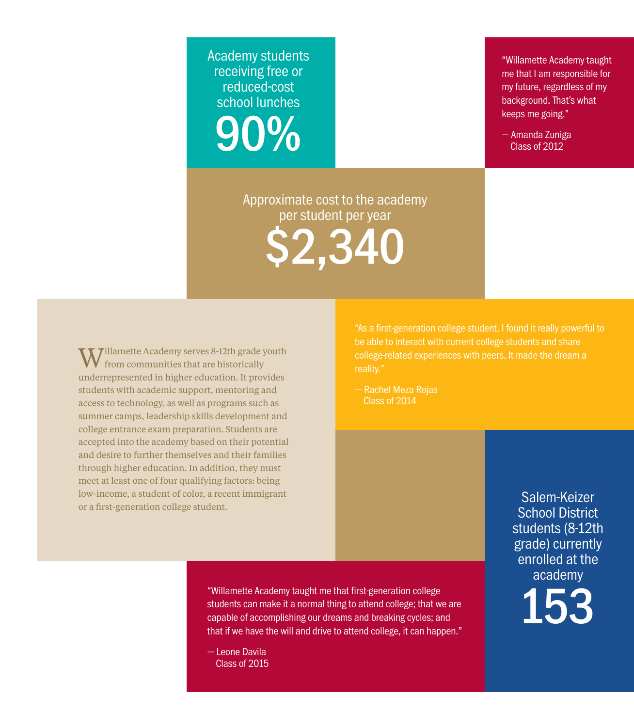Academy students receiving free or reduced-cost school lunches 90%

"Willamette Academy taught me that I am responsible for my future, regardless of my background. That's what keeps me going."

— Amanda Zuniga Class of 2012

Approximate cost to the academy per student per year \$2,340

 $\Pi$   $\overline{I}$   $I$ illamette Academy serves 8-12th grade youth from communities that are historically underrepresented in higher education. It provides students with academic support, mentoring and access to technology, as well as programs such as summer camps, leadership skills development and college entrance exam preparation. Students are accepted into the academy based on their potential and desire to further themselves and their families through higher education. In addition, they must meet at least one of four qualifying factors: being low-income, a student of color, a recent immigrant or a first-generation college student.

"As a first-generation college student, I found it really powerful to be able to interact with current college students and share college-related experiences with peers. It made the dream a

— Rachel Meza Rojas Class of 2014

> Salem-Keizer **School District** students (8-12th grade) currently enrolled at the academy 153

"Willamette Academy taught me that first-generation college students can make it a normal thing to attend college; that we are capable of accomplishing our dreams and breaking cycles; and that if we have the will and drive to attend college, it can happen."

— Leone Davila Class of 2015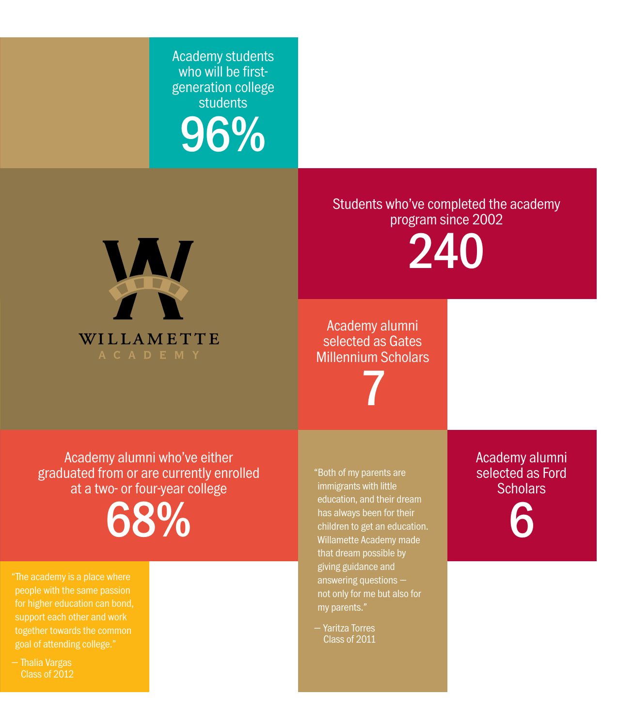Academy students who will be firstgeneration college **students** 96%



Students who've completed the academy program since 2002

240

Academy alumni selected as Gates Millennium Scholars 7

Academy alumni who've either graduated from or are currently enrolled at a two- or four-year college 68%

"The academy is a place where people with the same passion for higher education can bond, support each other and work together towards the common goal of attending college."

— Thalia Vargas Class of 2012 "Both of my parents are immigrants with little education, and their dream has always been for their children to get an education. Willamette Academy made that dream possible by giving guidance and answering questions not only for me but also for my parents."

— Yaritza Torres Class of 2011

# Academy alumni selected as Ford **Scholars**

6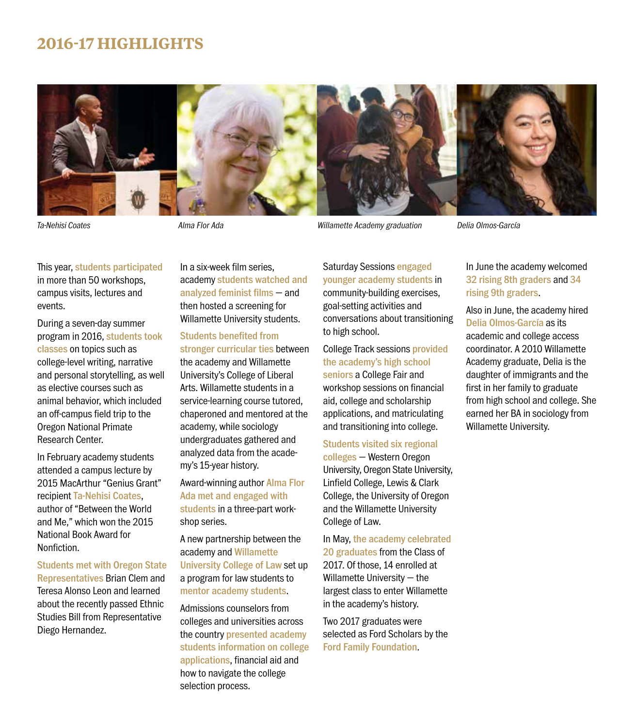# **2016-17 HIGHLIGHTS**



*Ta-Nehisi Coates Alma Flor Ada Willamette Academy graduation Delia Olmos-García*

This year, students participated in more than 50 workshops, campus visits, lectures and events.

During a seven-day summer program in 2016, students took classes on topics such as college-level writing, narrative and personal storytelling, as well as elective courses such as animal behavior, which included an off-campus field trip to the Oregon National Primate Research Center.

In February academy students attended a campus lecture by 2015 MacArthur "Genius Grant" recipient Ta-Nehisi Coates, author of "Between the World and Me," which won the 2015 National Book Award for Nonfiction.

Students met with Oregon State Representatives Brian Clem and Teresa Alonso Leon and learned about the recently passed Ethnic Studies Bill from Representative Diego Hernandez.

In a six-week film series, academy students watched and analyzed feminist films — and then hosted a screening for Willamette University students.

Students benefited from stronger curricular ties between the academy and Willamette University's College of Liberal Arts. Willamette students in a service-learning course tutored, chaperoned and mentored at the academy, while sociology undergraduates gathered and analyzed data from the academy's 15-year history.

Award-winning author Alma Flor Ada met and engaged with students in a three-part workshop series.

A new partnership between the academy and Willamette University College of Law set up a program for law students to mentor academy students.

Admissions counselors from colleges and universities across the country presented academy students information on college applications, financial aid and how to navigate the college selection process.

Saturday Sessions engaged younger academy students in community-building exercises, goal-setting activities and conversations about transitioning to high school.

College Track sessions provided the academy's high school seniors a College Fair and workshop sessions on financial aid, college and scholarship applications, and matriculating and transitioning into college.

#### Students visited six regional

colleges — Western Oregon University, Oregon State University, Linfield College, Lewis & Clark College, the University of Oregon and the Willamette University College of Law.

In May, the academy celebrated 20 graduates from the Class of 2017. Of those, 14 enrolled at Willamette University — the largest class to enter Willamette in the academy's history.

Two 2017 graduates were selected as Ford Scholars by the Ford Family Foundation.

In June the academy welcomed 32 rising 8th graders and 34 rising 9th graders.

Also in June, the academy hired Delia Olmos-García as its academic and college access coordinator. A 2010 Willamette Academy graduate, Delia is the daughter of immigrants and the first in her family to graduate from high school and college. She earned her BA in sociology from Willamette University.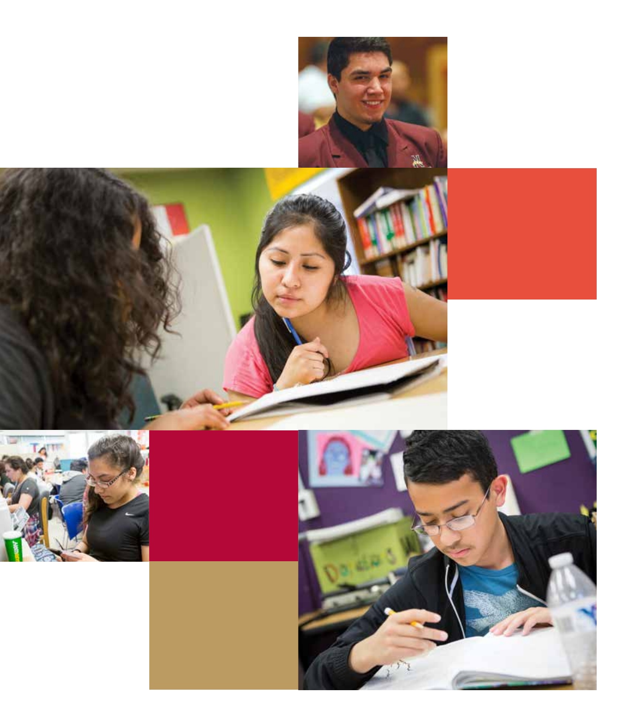